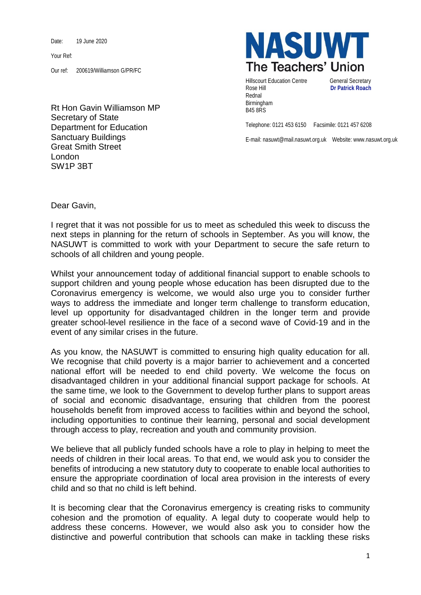Date: 19 June 2020

Your Ref:

Our ref: 200619/Williamson G/PR/FC

Rt Hon Gavin Williamson MP Secretary of State Department for Education Sanctuary Buildings Great Smith Street London SW1P 3BT



Hillscourt Education Centre **General Secretary** Rose Hill **Dr Patrick Roach** Rednal Birmingham B45 8RS

Telephone: 0121 453 6150 Facsimile: 0121 457 6208

E-mail: nasuwt@mail.nasuwt.org.uk Website: www.nasuwt.org.uk

Dear Gavin,

I regret that it was not possible for us to meet as scheduled this week to discuss the next steps in planning for the return of schools in September. As you will know, the NASUWT is committed to work with your Department to secure the safe return to schools of all children and young people.

Whilst your announcement today of additional financial support to enable schools to support children and young people whose education has been disrupted due to the Coronavirus emergency is welcome, we would also urge you to consider further ways to address the immediate and longer term challenge to transform education, level up opportunity for disadvantaged children in the longer term and provide greater school-level resilience in the face of a second wave of Covid-19 and in the event of any similar crises in the future.

As you know, the NASUWT is committed to ensuring high quality education for all. We recognise that child poverty is a major barrier to achievement and a concerted national effort will be needed to end child poverty. We welcome the focus on disadvantaged children in your additional financial support package for schools. At the same time, we look to the Government to develop further plans to support areas of social and economic disadvantage, ensuring that children from the poorest households benefit from improved access to facilities within and beyond the school, including opportunities to continue their learning, personal and social development through access to play, recreation and youth and community provision.

We believe that all publicly funded schools have a role to play in helping to meet the needs of children in their local areas. To that end, we would ask you to consider the benefits of introducing a new statutory duty to cooperate to enable local authorities to ensure the appropriate coordination of local area provision in the interests of every child and so that no child is left behind.

It is becoming clear that the Coronavirus emergency is creating risks to community cohesion and the promotion of equality. A legal duty to cooperate would help to address these concerns. However, we would also ask you to consider how the distinctive and powerful contribution that schools can make in tackling these risks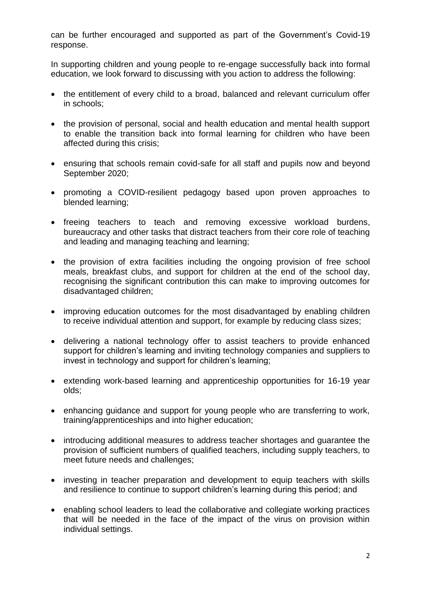can be further encouraged and supported as part of the Government's Covid-19 response.

In supporting children and young people to re-engage successfully back into formal education, we look forward to discussing with you action to address the following:

- the entitlement of every child to a broad, balanced and relevant curriculum offer in schools;
- the provision of personal, social and health education and mental health support to enable the transition back into formal learning for children who have been affected during this crisis;
- ensuring that schools remain covid-safe for all staff and pupils now and beyond September 2020;
- promoting a COVID-resilient pedagogy based upon proven approaches to blended learning;
- freeing teachers to teach and removing excessive workload burdens, bureaucracy and other tasks that distract teachers from their core role of teaching and leading and managing teaching and learning;
- the provision of extra facilities including the ongoing provision of free school meals, breakfast clubs, and support for children at the end of the school day, recognising the significant contribution this can make to improving outcomes for disadvantaged children;
- improving education outcomes for the most disadvantaged by enabling children to receive individual attention and support, for example by reducing class sizes;
- delivering a national technology offer to assist teachers to provide enhanced support for children's learning and inviting technology companies and suppliers to invest in technology and support for children's learning;
- extending work-based learning and apprenticeship opportunities for 16-19 year olds;
- enhancing guidance and support for young people who are transferring to work, training/apprenticeships and into higher education;
- introducing additional measures to address teacher shortages and guarantee the provision of sufficient numbers of qualified teachers, including supply teachers, to meet future needs and challenges;
- investing in teacher preparation and development to equip teachers with skills and resilience to continue to support children's learning during this period; and
- enabling school leaders to lead the collaborative and collegiate working practices that will be needed in the face of the impact of the virus on provision within individual settings.